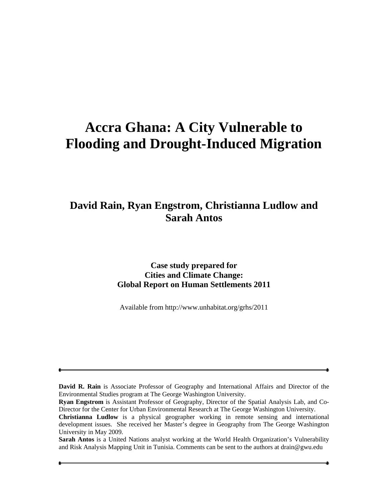# **Accra Ghana: A City Vulnerable to Flooding and Drought-Induced Migration**

## **David Rain, Ryan Engstrom, Christianna Ludlow and Sarah Antos**

#### **Case study prepared for Cities and Climate Change: Global Report on Human Settlements 2011**

Available from http://www.unhabitat.org/grhs/2011

**David R. Rain** is Associate Professor of Geography and International Affairs and Director of the Environmental Studies program at The George Washington University.

**Ryan Engstrom** is Assistant Professor of Geography, Director of the Spatial Analysis Lab, and Co-Director for the Center for Urban Environmental Research at The George Washington University.

**Christianna Ludlow** is a physical geographer working in remote sensing and international development issues. She received her Master's degree in Geography from The George Washington University in May 2009.

**Sarah Antos** is a United Nations analyst working at the World Health Organization's Vulnerability and Risk Analysis Mapping Unit in Tunisia. Comments can be sent to the authors at drain@gwu.edu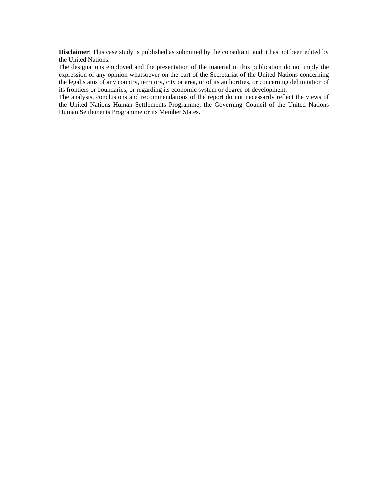**Disclaimer**: This case study is published as submitted by the consultant, and it has not been edited by the United Nations.

The designations employed and the presentation of the material in this publication do not imply the expression of any opinion whatsoever on the part of the Secretariat of the United Nations concerning the legal status of any country, territory, city or area, or of its authorities, or concerning delimitation of its frontiers or boundaries, or regarding its economic system or degree of development.

The analysis, conclusions and recommendations of the report do not necessarily reflect the views of the United Nations Human Settlements Programme, the Governing Council of the United Nations Human Settlements Programme or its Member States.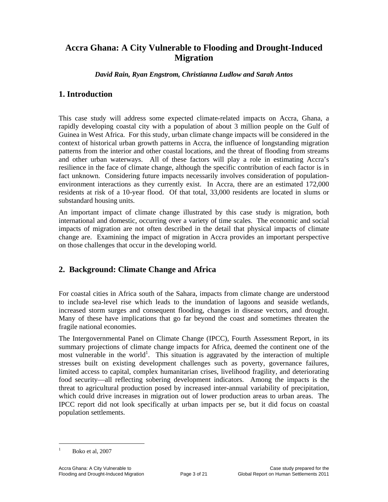### **Accra Ghana: A City Vulnerable to Flooding and Drought-Induced Migration**

*David Rain, Ryan Engstrom, Christianna Ludlow and Sarah Antos* 

#### **1. Introduction**

This case study will address some expected climate-related impacts on Accra, Ghana, a rapidly developing coastal city with a population of about 3 million people on the Gulf of Guinea in West Africa. For this study, urban climate change impacts will be considered in the context of historical urban growth patterns in Accra, the influence of longstanding migration patterns from the interior and other coastal locations, and the threat of flooding from streams and other urban waterways. All of these factors will play a role in estimating Accra's resilience in the face of climate change, although the specific contribution of each factor is in fact unknown. Considering future impacts necessarily involves consideration of populationenvironment interactions as they currently exist. In Accra, there are an estimated 172,000 residents at risk of a 10-year flood. Of that total, 33,000 residents are located in slums or substandard housing units.

An important impact of climate change illustrated by this case study is migration, both international and domestic, occurring over a variety of time scales. The economic and social impacts of migration are not often described in the detail that physical impacts of climate change are. Examining the impact of migration in Accra provides an important perspective on those challenges that occur in the developing world.

#### **2. Background: Climate Change and Africa**

For coastal cities in Africa south of the Sahara, impacts from climate change are understood to include sea-level rise which leads to the inundation of lagoons and seaside wetlands, increased storm surges and consequent flooding, changes in disease vectors, and drought. Many of these have implications that go far beyond the coast and sometimes threaten the fragile national economies.

The Intergovernmental Panel on Climate Change (IPCC), Fourth Assessment Report, in its summary projections of climate change impacts for Africa, deemed the continent one of the most vulnerable in the world<sup>1</sup>. This situation is aggravated by the interaction of multiple stresses built on existing development challenges such as poverty, governance failures, limited access to capital, complex humanitarian crises, livelihood fragility, and deteriorating food security—all reflecting sobering development indicators. Among the impacts is the threat to agricultural production posed by increased inter-annual variability of precipitation, which could drive increases in migration out of lower production areas to urban areas. The IPCC report did not look specifically at urban impacts per se, but it did focus on coastal population settlements.

<sup>1</sup> Boko et al, 2007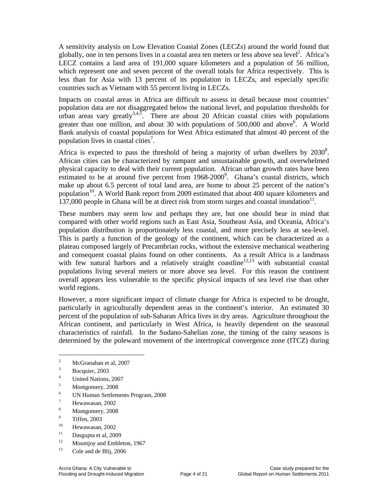A sensitivity analysis on Low Elevation Coastal Zones (LECZs) around the world found that globally, one in ten persons lives in a coastal area ten meters or less above sea level<sup>2</sup>. Africa's LECZ contains a land area of 191,000 square kilometers and a population of 56 million, which represent one and seven percent of the overall totals for Africa respectively. This is less than for Asia with 13 percent of its population in LECZs, and especially specific countries such as Vietnam with 55 percent living in LECZs.

Impacts on coastal areas in Africa are difficult to assess in detail because most countries' population data are not disaggregated below the national level, and population thresholds for urban areas vary greatly<sup>3,4,5</sup>. There are about 20 African coastal cities with populations greater than one million, and about 30 with populations of  $500,000$  and above  $\hat{6}$ . A World Bank analysis of coastal populations for West Africa estimated that almost 40 percent of the population lives in coastal cities<sup>7</sup>.

Africa is expected to pass the threshold of being a majority of urban dwellers by  $2030^8$ . African cities can be characterized by rampant and unsustainable growth, and overwhelmed physical capacity to deal with their current population. African urban growth rates have been estimated to be at around five percent from 1968-2000<sup>9</sup>. Ghana's coastal districts, which make up about 6.5 percent of total land area, are home to about 25 percent of the nation's population<sup>10</sup>. A World Bank report from 2009 estimated that about  $400$  square kilometers and 137,000 people in Ghana will be at direct risk from storm surges and coastal inundation<sup>11</sup>.

These numbers may seem low and perhaps they are, but one should bear in mind that compared with other world regions such as East Asia, Southeast Asia, and Oceania, Africa's population distribution is proportionately less coastal, and more precisely less at sea-level. This is partly a function of the geology of the continent, which can be characterized as a plateau composed largely of Precambrian rocks, without the extensive mechanical weathering and consequent coastal plains found on other continents. As a result Africa is a landmass with few natural harbors and a relatively straight coastline<sup>12,13</sup> with substantial coastal populations living several meters or more above sea level. For this reason the continent overall appears less vulnerable to the specific physical impacts of sea level rise than other world regions.

However, a more significant impact of climate change for Africa is expected to be drought, particularly in agriculturally dependent areas in the continent's interior. An estimated 30 percent of the population of sub-Saharan Africa lives in dry areas. Agriculture throughout the African continent, and particularly in West Africa, is heavily dependent on the seasonal characteristics of rainfall. In the Sudano-Sahelian zone, the timing of the rainy seasons is determined by the poleward movement of the intertropical convergence zone (ITCZ) during

5 Montgomery, 2008

- 7 Hewawasan, 2002
- 8 Montgomery, 2008
- 9  $\frac{9}{10}$  Tiffen, 2003
- $^{10}$  Hewawasan, 2002
- Dasgupta et al, 2009
- <sup>12</sup> Mountjoy and Embleton, 1967<br><sup>13</sup>  $\frac{13}{2}$  All **DU** 2006
- Cole and de Blij, 2006

<sup>2</sup> McGranahan et al, 2007

<sup>3</sup> Bocquier, 2003

<sup>4</sup> United Nations, 2007

<sup>6</sup> UN Human Settlements Program, 2008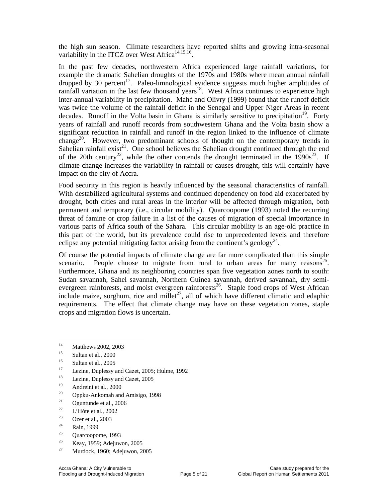the high sun season. Climate researchers have reported shifts and growing intra-seasonal variability in the ITCZ over West Africa<sup>14,15,16</sup>.

In the past few decades, northwestern Africa experienced large rainfall variations, for example the dramatic Sahelian droughts of the 1970s and 1980s where mean annual rainfall dropped by 30 percent<sup>17</sup>. Paleo-limnological evidence suggests much higher amplitudes of rainfall variation in the last few thousand years<sup>18</sup>. West Africa continues to experience high inter-annual variability in precipitation. Mahé and Olivry (1999) found that the runoff deficit was twice the volume of the rainfall deficit in the Senegal and Upper Niger Areas in recent decades. Runoff in the Volta basin in Ghana is similarly sensitive to precipitation<sup>19</sup>. Forty years of rainfall and runoff records from southwestern Ghana and the Volta basin show a significant reduction in rainfall and runoff in the region linked to the influence of climate change<sup>20</sup>. However, two predominant schools of thought on the contemporary trends in Sahelian rainfall exist<sup>21</sup>. One school believes the Sahelian drought continued through the end of the 20th century<sup>22</sup>, while the other contends the drought terminated in the  $1990s^{23}$ . If climate change increases the variability in rainfall or causes drought, this will certainly have impact on the city of Accra.

Food security in this region is heavily influenced by the seasonal characteristics of rainfall. With destabilized agricultural systems and continued dependency on food aid exacerbated by drought, both cities and rural areas in the interior will be affected through migration, both permanent and temporary (i.e., circular mobility). Quarcoopome (1993) noted the recurring threat of famine or crop failure in a list of the causes of migration of special importance in various parts of Africa south of the Sahara. This circular mobility is an age-old practice in this part of the world, but its prevalence could rise to unprecedented levels and therefore eclipse any potential mitigating factor arising from the continent's geology<sup>24</sup>.

Of course the potential impacts of climate change are far more complicated than this simple scenario. People choose to migrate from rural to urban areas for many reasons<sup>25</sup>. Furthermore, Ghana and its neighboring countries span five vegetation zones north to south: Sudan savannah, Sahel savannah, Northern Guinea savannah, derived savannah, dry semievergreen rainforests, and moist evergreen rainforests<sup>26</sup>. Staple food crops of West African include maize, sorghum, rice and millet<sup>27</sup>, all of which have different climatic and edaphic requirements. The effect that climate change may have on these vegetation zones, staple crops and migration flows is uncertain.

 $\overline{a}$ 

19 Andreini et al., 2000

- <sup>21</sup> Oguntunde et al., 2006<br><sup>22</sup>  $\frac{121\text{ Hz}}{2002}$
- <sup>22</sup> L'Hóte et al., 2002
- <sup>23</sup> Ozer et al., 2003
- $\frac{24}{25}$  Rain, 1999
- Quarcoopome, 1993
- <sup>26</sup> Keay, 1959; Adejuwon, 2005
- Murdock, 1960; Adejuwon, 2005

<sup>&</sup>lt;sup>14</sup> Matthews 2002, 2003

Sultan et al., 2000

 $16$  Sultan et al., 2005

Lezine, Duplessy and Cazet, 2005; Hulme, 1992

<sup>&</sup>lt;sup>18</sup> Lezine, Duplessy and Cazet, 2005

<sup>20</sup> Oppku-Ankomah and Amisigo, 1998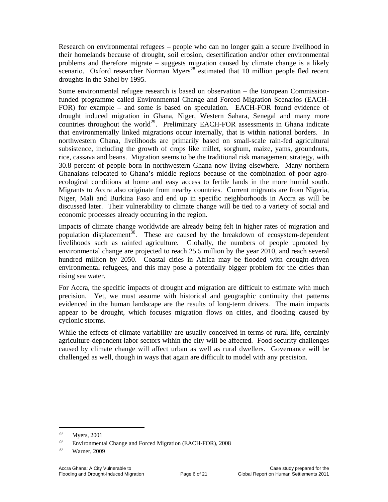Research on environmental refugees – people who can no longer gain a secure livelihood in their homelands because of drought, soil erosion, desertification and/or other environmental problems and therefore migrate – suggests migration caused by climate change is a likely scenario. Oxford researcher Norman Myers<sup>28</sup> estimated that 10 million people fled recent droughts in the Sahel by 1995.

Some environmental refugee research is based on observation – the European Commissionfunded programme called Environmental Change and Forced Migration Scenarios (EACH-FOR) for example – and some is based on speculation. EACH-FOR found evidence of drought induced migration in Ghana, Niger, Western Sahara, Senegal and many more countries throughout the world<sup>29</sup>. Preliminary EACH-FOR assessments in Ghana indicate that environmentally linked migrations occur internally, that is within national borders. In northwestern Ghana, livelihoods are primarily based on small-scale rain-fed agricultural subsistence, including the growth of crops like millet, sorghum, maize, yams, groundnuts, rice, cassava and beans. Migration seems to be the traditional risk management strategy, with 30.8 percent of people born in northwestern Ghana now living elsewhere. Many northern Ghanaians relocated to Ghana's middle regions because of the combination of poor agroecological conditions at home and easy access to fertile lands in the more humid south. Migrants to Accra also originate from nearby countries. Current migrants are from Nigeria, Niger, Mali and Burkina Faso and end up in specific neighborhoods in Accra as will be discussed later. Their vulnerability to climate change will be tied to a variety of social and economic processes already occurring in the region.

Impacts of climate change worldwide are already being felt in higher rates of migration and population displacement<sup>30</sup>. These are caused by the breakdown of ecosystem-dependent livelihoods such as rainfed agriculture. Globally, the numbers of people uprooted by environmental change are projected to reach 25.5 million by the year 2010, and reach several hundred million by 2050. Coastal cities in Africa may be flooded with drought-driven environmental refugees, and this may pose a potentially bigger problem for the cities than rising sea water.

For Accra, the specific impacts of drought and migration are difficult to estimate with much precision. Yet, we must assume with historical and geographic continuity that patterns evidenced in the human landscape are the results of long-term drivers. The main impacts appear to be drought, which focuses migration flows on cities, and flooding caused by cyclonic storms.

While the effects of climate variability are usually conceived in terms of rural life, certainly agriculture-dependent labor sectors within the city will be affected. Food security challenges caused by climate change will affect urban as well as rural dwellers. Governance will be challenged as well, though in ways that again are difficult to model with any precision.

<sup>28</sup> Myers, 2001

<sup>&</sup>lt;sup>29</sup> Environmental Change and Forced Migration (EACH-FOR), 2008

Warner, 2009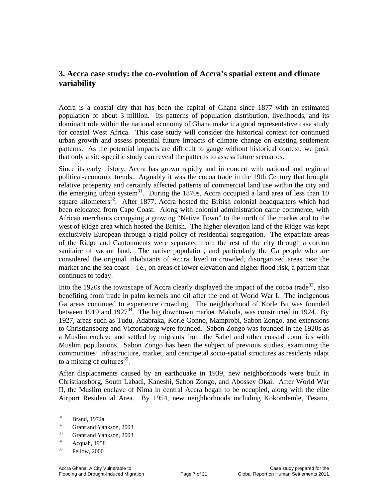#### **3. Accra case study: the co-evolution of Accra's spatial extent and climate variability**

Accra is a coastal city that has been the capital of Ghana since 1877 with an estimated population of about 3 million. Its patterns of population distribution, livelihoods, and its dominant role within the national economy of Ghana make it a good representative case study for coastal West Africa. This case study will consider the historical context for continued urban growth and assess potential future impacts of climate change on existing settlement patterns. As the potential impacts are difficult to gauge without historical context, we posit that only a site-specific study can reveal the patterns to assess future scenarios.

Since its early history, Accra has grown rapidly and in concert with national and regional political-economic trends. Arguably it was the cocoa trade in the 19th Century that brought relative prosperity and certainly affected patterns of commercial land use within the city and the emerging urban system<sup>31</sup>. During the 1870s, Accra occupied a land area of less than 10 square kilometers<sup>32</sup>. After 1877, Accra hosted the British colonial headquarters which had been relocated from Cape Coast. Along with colonial administration came commerce, with African merchants occupying a growing "Native Town" to the north of the market and to the west of Ridge area which hosted the British. The higher elevation land of the Ridge was kept exclusively European through a rigid policy of residential segregation. The expatriate areas of the Ridge and Cantonments were separated from the rest of the city through a cordon sanitaire of vacant land. The native population, and particularly the Ga people who are considered the original inhabitants of Accra, lived in crowded, disorganized areas near the market and the sea coast—i.e., on areas of lower elevation and higher flood risk, a pattern that continues to today.

Into the 1920s the townscape of Accra clearly displayed the impact of the cocoa trade<sup>33</sup>, also benefiting from trade in palm kernels and oil after the end of World War I. The indigenous Ga areas continued to experience crowding. The neighborhood of Korle Bu was founded between 1919 and 1927<sup>34</sup>. The big downtown market, Makola, was constructed in 1924. By 1927, areas such as Tudu, Adabraka, Korle Gonno, Mamprobi, Sabon Zongo, and extensions to Christiansborg and Victoriaborg were founded. Sabon Zongo was founded in the 1920s as a Muslim enclave and settled by migrants from the Sahel and other coastal countries with Muslim populations. Sabon Zongo has been the subject of previous studies, examining the communities' infrastructure, market, and centripetal socio-spatial structures as residents adapt to a mixing of cultures<sup>35</sup>.

After displacements caused by an earthquake in 1939, new neighborhoods were built in Christiansborg, South Labadi, Kaneshi, Sabon Zongo, and Abossey Okai. After World War II, the Muslim enclave of Nima in central Accra began to be occupied, along with the elite Airport Residential Area. By 1954, new neighborhoods including Kokomlemle, Tesano,

 $31$  Brand, 1972a

 $rac{32}{33}$  Grant and Yankson, 2003

Grant and Yankson, 2003

 $^{34}$  Acquah, 1958

Pellow, 2000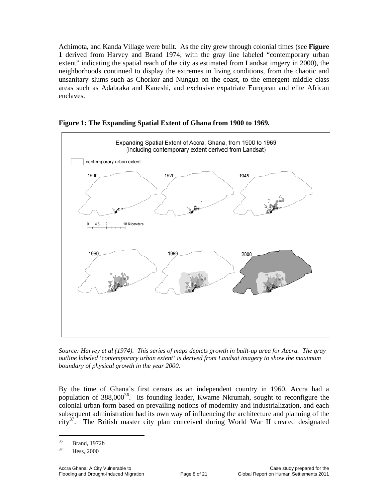Achimota, and Kanda Village were built. As the city grew through colonial times (see **Figure 1** derived from Harvey and Brand 1974, with the gray line labeled "contemporary urban extent" indicating the spatial reach of the city as estimated from Landsat imgery in 2000), the neighborhoods continued to display the extremes in living conditions, from the chaotic and unsanitary slums such as Chorkor and Nungua on the coast, to the emergent middle class areas such as Adabraka and Kaneshi, and exclusive expatriate European and elite African enclaves.



**Figure 1: The Expanding Spatial Extent of Ghana from 1900 to 1969.** 

*Source: Harvey et al (1974). This series of maps depicts growth in built-up area for Accra. The gray outline labeled 'contemporary urban extent' is derived from Landsat imagery to show the maximum boundary of physical growth in the year 2000.* 

By the time of Ghana's first census as an independent country in 1960, Accra had a population of  $388,000^{36}$ . Its founding leader, Kwame Nkrumah, sought to reconfigure the colonial urban form based on prevailing notions of modernity and industrialization, and each subsequent administration had its own way of influencing the architecture and planning of the  $\text{city}^{37}$ . The British master city plan conceived during World War II created designated

 $36$  Brand, 1972b

Hess, 2000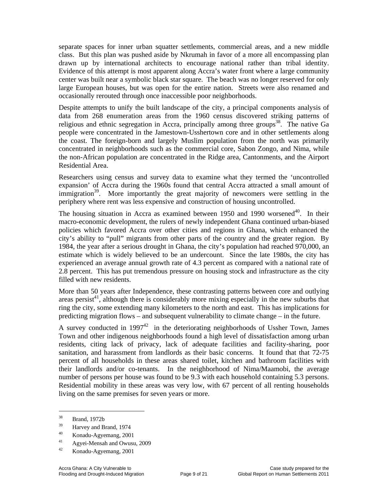separate spaces for inner urban squatter settlements, commercial areas, and a new middle class. But this plan was pushed aside by Nkrumah in favor of a more all encompassing plan drawn up by international architects to encourage national rather than tribal identity. Evidence of this attempt is most apparent along Accra's water front where a large community center was built near a symbolic black star square. The beach was no longer reserved for only large European houses, but was open for the entire nation. Streets were also renamed and occasionally rerouted through once inaccessible poor neighborhoods.

Despite attempts to unify the built landscape of the city, a principal components analysis of data from 268 enumeration areas from the 1960 census discovered striking patterns of religious and ethnic segregation in Accra, principally among three groups<sup>38</sup>. The native Ga people were concentrated in the Jamestown-Usshertown core and in other settlements along the coast. The foreign-born and largely Muslim population from the north was primarily concentrated in neighborhoods such as the commercial core, Sabon Zongo, and Nima, while the non-African population are concentrated in the Ridge area, Cantonments, and the Airport Residential Area.

Researchers using census and survey data to examine what they termed the 'uncontrolled expansion' of Accra during the 1960s found that central Accra attracted a small amount of immigration<sup>39</sup>. More importantly the great majority of newcomers were settling in the periphery where rent was less expensive and construction of housing uncontrolled.

The housing situation in Accra as examined between 1950 and 1990 worsened<sup>40</sup>. In their macro-economic development, the rulers of newly independent Ghana continued urban-biased policies which favored Accra over other cities and regions in Ghana, which enhanced the city's ability to "pull" migrants from other parts of the country and the greater region. By 1984, the year after a serious drought in Ghana, the city's population had reached 970,000, an estimate which is widely believed to be an undercount. Since the late 1980s, the city has experienced an average annual growth rate of 4.3 percent as compared with a national rate of 2.8 percent. This has put tremendous pressure on housing stock and infrastructure as the city filled with new residents.

More than 50 years after Independence, these contrasting patterns between core and outlying areas persist<sup>41</sup>, although there is considerably more mixing especially in the new suburbs that ring the city, some extending many kilometers to the north and east. This has implications for predicting migration flows – and subsequent vulnerability to climate change – in the future.

A survey conducted in 1997<sup>42</sup> in the deteriorating neighborhoods of Ussher Town, James Town and other indigenous neighborhoods found a high level of dissatisfaction among urban residents, citing lack of privacy, lack of adequate facilities and facility-sharing, poor sanitation, and harassment from landlords as their basic concerns. It found that that 72-75 percent of all households in these areas shared toilet, kitchen and bathroom facilities with their landlords and/or co-tenants. In the neighborhood of Nima/Maamobi, the average number of persons per house was found to be 9.3 with each household containing 5.3 persons. Residential mobility in these areas was very low, with 67 percent of all renting households living on the same premises for seven years or more.

 $38$  Brand, 1972b

 $\frac{39}{40}$  Harvey and Brand, 1974

<sup>40</sup> Konadu-Agyemang, 2001

<sup>&</sup>lt;sup>41</sup> Agyei-Mensah and Owusu, 2009

<sup>42</sup> Konadu-Agyemang, 2001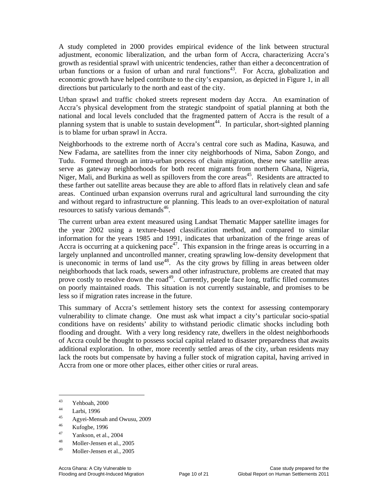A study completed in 2000 provides empirical evidence of the link between structural adjustment, economic liberalization, and the urban form of Accra, characterizing Accra's growth as residential sprawl with unicentric tendencies, rather than either a deconcentration of urban functions or a fusion of urban and rural functions<sup>43</sup>. For Accra, globalization and economic growth have helped contribute to the city's expansion, as depicted in Figure 1, in all directions but particularly to the north and east of the city.

Urban sprawl and traffic choked streets represent modern day Accra. An examination of Accra's physical development from the strategic standpoint of spatial planning at both the national and local levels concluded that the fragmented pattern of Accra is the result of a planning system that is unable to sustain development<sup>44</sup>. In particular, short-sighted planning is to blame for urban sprawl in Accra.

Neighborhoods to the extreme north of Accra's central core such as Madina, Kasuwa, and New Fadama, are satellites from the inner city neighborhoods of Nima, Sabon Zongo, and Tudu. Formed through an intra-urban process of chain migration, these new satellite areas serve as gateway neighborhoods for both recent migrants from northern Ghana, Nigeria, Niger, Mali, and Burkina as well as spillovers from the core areas<sup>45</sup>. Residents are attracted to these farther out satellite areas because they are able to afford flats in relatively clean and safe areas. Continued urban expansion overruns rural and agricultural land surrounding the city and without regard to infrastructure or planning. This leads to an over-exploitation of natural resources to satisfy various demands<sup>46</sup>.

The current urban area extent measured using Landsat Thematic Mapper satellite images for the year 2002 using a texture-based classification method, and compared to similar information for the years 1985 and 1991, indicates that urbanization of the fringe areas of Accra is occurring at a quickening pace<sup>47</sup>. This expansion in the fringe areas is occurring in a largely unplanned and uncontrolled manner, creating sprawling low-density development that is uneconomic in terms of land use<sup>48</sup>. As the city grows by filling in areas between older neighborhoods that lack roads, sewers and other infrastructure, problems are created that may prove costly to resolve down the road<sup>49</sup>. Currently, people face long, traffic filled commutes on poorly maintained roads. This situation is not currently sustainable, and promises to be less so if migration rates increase in the future.

This summary of Accra's settlement history sets the context for assessing contemporary vulnerability to climate change. One must ask what impact a city's particular socio-spatial conditions have on residents' ability to withstand periodic climatic shocks including both flooding and drought. With a very long residency rate, dwellers in the oldest neighborhoods of Accra could be thought to possess social capital related to disaster preparedness that awaits additional exploration. In other, more recently settled areas of the city, urban residents may lack the roots but compensate by having a fuller stock of migration capital, having arrived in Accra from one or more other places, either other cities or rural areas.

 $\overline{a}$ 

 $45$  Agyei-Mensah and Owusu, 2009

- Yankson, et al., 2004
- 48 Moller-Jensen et al., 2005
- 49 Moller-Jensen et al., 2005

 $\frac{43}{44}$  Yehboah, 2000

 $\frac{44}{15}$  Larbi, 1996

 $\frac{46}{47}$  Kufogbe, 1996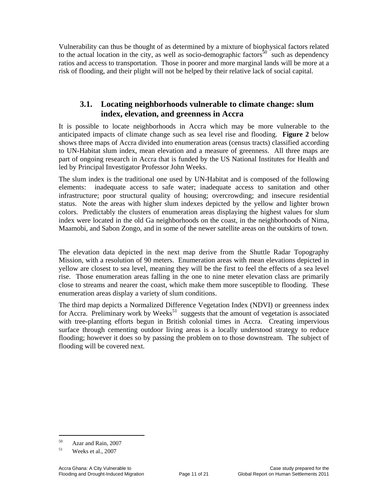Vulnerability can thus be thought of as determined by a mixture of biophysical factors related to the actual location in the city, as well as socio-demographic factors<sup>50</sup> such as dependency ratios and access to transportation. Those in poorer and more marginal lands will be more at a risk of flooding, and their plight will not be helped by their relative lack of social capital.

#### **3.1. Locating neighborhoods vulnerable to climate change: slum index, elevation, and greenness in Accra**

It is possible to locate neighborhoods in Accra which may be more vulnerable to the anticipated impacts of climate change such as sea level rise and flooding. **Figure 2** below shows three maps of Accra divided into enumeration areas (census tracts) classified according to UN-Habitat slum index, mean elevation and a measure of greenness. All three maps are part of ongoing research in Accra that is funded by the US National Institutes for Health and led by Principal Investigator Professor John Weeks.

The slum index is the traditional one used by UN-Habitat and is composed of the following elements: inadequate access to safe water; inadequate access to sanitation and other infrastructure; poor structural quality of housing; overcrowding; and insecure residential status. Note the areas with higher slum indexes depicted by the yellow and lighter brown colors. Predictably the clusters of enumeration areas displaying the highest values for slum index were located in the old Ga neighborhoods on the coast, in the neighborhoods of Nima, Maamobi, and Sabon Zongo, and in some of the newer satellite areas on the outskirts of town.

The elevation data depicted in the next map derive from the Shuttle Radar Topography Mission, with a resolution of 90 meters. Enumeration areas with mean elevations depicted in yellow are closest to sea level, meaning they will be the first to feel the effects of a sea level rise. Those enumeration areas falling in the one to nine meter elevation class are primarily close to streams and nearer the coast, which make them more susceptible to flooding. These enumeration areas display a variety of slum conditions.

The third map depicts a Normalized Difference Vegetation Index (NDVI) or greenness index for Accra. Preliminary work by Weeks<sup>51</sup> suggests that the amount of vegetation is associated with tree-planting efforts begun in British colonial times in Accra. Creating impervious surface through cementing outdoor living areas is a locally understood strategy to reduce flooding; however it does so by passing the problem on to those downstream. The subject of flooding will be covered next.

<sup>50</sup> Azar and Rain, 2007

 $51$  Weeks et al., 2007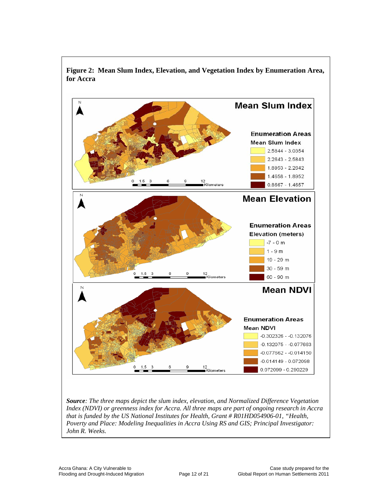

**Figure 2: Mean Slum Index, Elevation, and Vegetation Index by Enumeration Area, for Accra** 

*Source: The three maps depict the slum index, elevation, and Normalized Difference Vegetation Index (NDVI) or greenness index for Accra. All three maps are part of ongoing research in Accra that is funded by the US National Institutes for Health, Grant # R01HD054906-01, "Health, Poverty and Place: Modeling Inequalities in Accra Using RS and GIS; Principal Investigator: John R. Weeks.*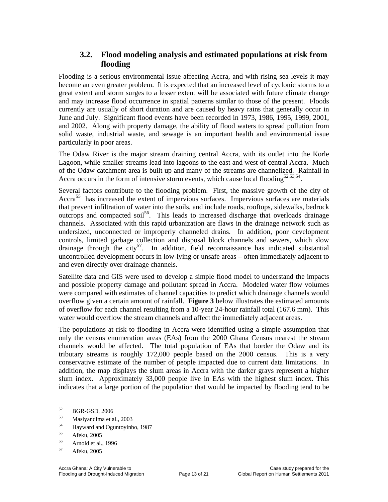#### **3.2. Flood modeling analysis and estimated populations at risk from flooding**

Flooding is a serious environmental issue affecting Accra, and with rising sea levels it may become an even greater problem. It is expected that an increased level of cyclonic storms to a great extent and storm surges to a lesser extent will be associated with future climate change and may increase flood occurrence in spatial patterns similar to those of the present. Floods currently are usually of short duration and are caused by heavy rains that generally occur in June and July. Significant flood events have been recorded in 1973, 1986, 1995, 1999, 2001, and 2002. Along with property damage, the ability of flood waters to spread pollution from solid waste, industrial waste, and sewage is an important health and environmental issue particularly in poor areas.

The Odaw River is the major stream draining central Accra, with its outlet into the Korle Lagoon, while smaller streams lead into lagoons to the east and west of central Accra. Much of the Odaw catchment area is built up and many of the streams are channelized. Rainfall in Accra occurs in the form of intensive storm events, which cause local flooding<sup>52,53,54</sup>.

Several factors contribute to the flooding problem. First, the massive growth of the city of Accra<sup>55</sup> has increased the extent of impervious surfaces. Impervious surfaces are materials that prevent infiltration of water into the soils, and include roads, rooftops, sidewalks, bedrock outcrops and compacted soil<sup>56</sup>. This leads to increased discharge that overloads drainage channels. Associated with this rapid urbanization are flaws in the drainage network such as undersized, unconnected or improperly channeled drains. In addition, poor development controls, limited garbage collection and disposal block channels and sewers, which slow drainage through the city<sup>57</sup>. In addition, field reconnaissance has indicated substantial uncontrolled development occurs in low-lying or unsafe areas – often immediately adjacent to and even directly over drainage channels.

Satellite data and GIS were used to develop a simple flood model to understand the impacts and possible property damage and pollutant spread in Accra. Modeled water flow volumes were compared with estimates of channel capacities to predict which drainage channels would overflow given a certain amount of rainfall. **Figure 3** below illustrates the estimated amounts of overflow for each channel resulting from a 10-year 24-hour rainfall total (167.6 mm). This water would overflow the stream channels and affect the immediately adjacent areas.

The populations at risk to flooding in Accra were identified using a simple assumption that only the census enumeration areas (EAs) from the 2000 Ghana Census nearest the stream channels would be affected. The total population of EAs that border the Odaw and its tributary streams is roughly 172,000 people based on the 2000 census. This is a very conservative estimate of the number of people impacted due to current data limitations. In addition, the map displays the slum areas in Accra with the darker grays represent a higher slum index. Approximately 33,000 people live in EAs with the highest slum index. This indicates that a large portion of the population that would be impacted by flooding tend to be

 $^{52}$  BGR-GSD, 2006

 $\frac{53}{54}$  Masiyandima et al., 2003

 $^{54}$  Hayward and Oguntoyinbo, 1987

Afeku, 2005

 $\frac{56}{57}$  Arnold et al., 1996

Afeku, 2005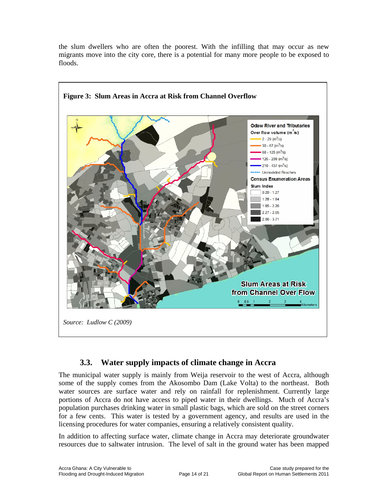the slum dwellers who are often the poorest. With the infilling that may occur as new migrants move into the city core, there is a potential for many more people to be exposed to floods.



#### **3.3. Water supply impacts of climate change in Accra**

The municipal water supply is mainly from Weija reservoir to the west of Accra, although some of the supply comes from the Akosombo Dam (Lake Volta) to the northeast. Both water sources are surface water and rely on rainfall for replenishment. Currently large portions of Accra do not have access to piped water in their dwellings. Much of Accra's population purchases drinking water in small plastic bags, which are sold on the street corners for a few cents. This water is tested by a government agency, and results are used in the licensing procedures for water companies, ensuring a relatively consistent quality.

In addition to affecting surface water, climate change in Accra may deteriorate groundwater resources due to saltwater intrusion. The level of salt in the ground water has been mapped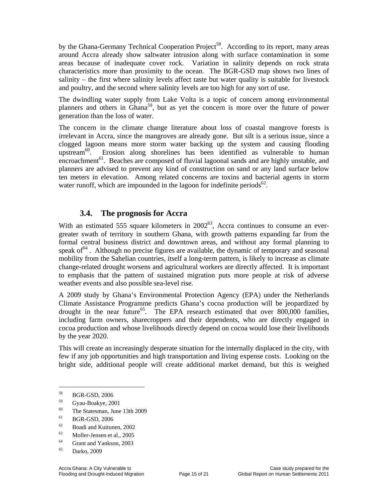by the Ghana-Germany Technical Cooperation Project<sup>58</sup>. According to its report, many areas around Accra already show saltwater intrusion along with surface contamination in some areas because of inadequate cover rock. Variation in salinity depends on rock strata characteristics more than proximity to the ocean. The BGR-GSD map shows two lines of salinity – the first where salinity levels affect taste but water quality is suitable for livestock and poultry, and the second where salinity levels are too high for any sort of use.

The dwindling water supply from Lake Volta is a topic of concern among environmental planners and others in Ghana<sup>59</sup>, but as yet the concern is more over the future of power generation than the loss of water.

The concern in the climate change literature about loss of coastal mangrove forests is irrelevant in Accra, since the mangroves are already gone. But silt is a serious issue, since a clogged lagoon means more storm water backing up the system and causing flooding upstream<sup>60</sup>. Erosion along shorelines has been identified as vulnerable to human encroachment<sup>61</sup>. Beaches are composed of fluvial lagoonal sands and are highly unstable, and planners are advised to prevent any kind of construction on sand or any land surface below ten meters in elevation. Among related concerns are toxins and bacterial agents in storm water runoff, which are impounded in the lagoon for indefinite periods<sup>62</sup>.

#### **3.4. The prognosis for Accra**

With an estimated 555 square kilometers in  $2002^{63}$ , Accra continues to consume an evergreater swath of territory in southern Ghana, with growth patterns expanding far from the formal central business district and downtown areas, and without any formal planning to speak of  $64$ . Although no precise figures are available, the dynamic of temporary and seasonal mobility from the Sahelian countries, itself a long-term pattern, is likely to increase as climate change-related drought worsens and agricultural workers are directly affected. It is important to emphasis that the pattern of sustained migration puts more people at risk of adverse weather events and also possible sea-level rise.

A 2009 study by Ghana's Environmental Protection Agency (EPA) under the Netherlands Climate Assistance Programme predicts Ghana's cocoa production will be jeopardized by drought in the near future<sup>65</sup>. The EPA research estimated that over 800,000 families, including farm owners, sharecroppers and their dependents, who are directly engaged in cocoa production and whose livelihoods directly depend on cocoa would lose their livelihoods by the year 2020.

This will create an increasingly desperate situation for the internally displaced in the city, with few if any job opportunities and high transportation and living expense costs. Looking on the bright side, additional people will create additional market demand, but this is weighed

 $\overline{\phantom{a}}$ 

- $^{60}$  The Statesman, June 13th 2009
- $^{61}$  BGR-GSD, 2006
- $^{62}$  Boadi and Kuitunen, 2002
- Moller-Jensen et al., 2005
- 64 Grant and Yankson, 2003
- 65 Darko, 2009

<sup>58</sup> BGR-GSD, 2006

<sup>59</sup> Gyau-Boakye, 2001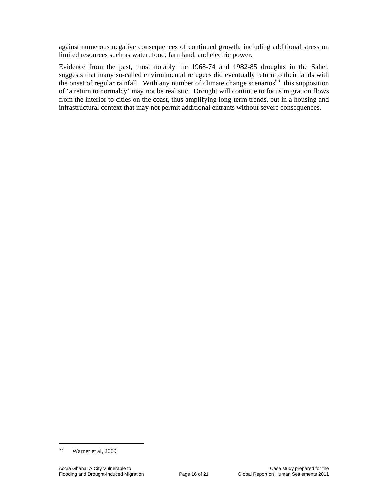against numerous negative consequences of continued growth, including additional stress on limited resources such as water, food, farmland, and electric power.

Evidence from the past, most notably the 1968-74 and 1982-85 droughts in the Sahel, suggests that many so-called environmental refugees did eventually return to their lands with the onset of regular rainfall. With any number of climate change scenarios<sup>66</sup> this supposition of 'a return to normalcy' may not be realistic. Drought will continue to focus migration flows from the interior to cities on the coast, thus amplifying long-term trends, but in a housing and infrastructural context that may not permit additional entrants without severe consequences.

 $\overline{\phantom{a}}$ 

<sup>66</sup> Warner et al, 2009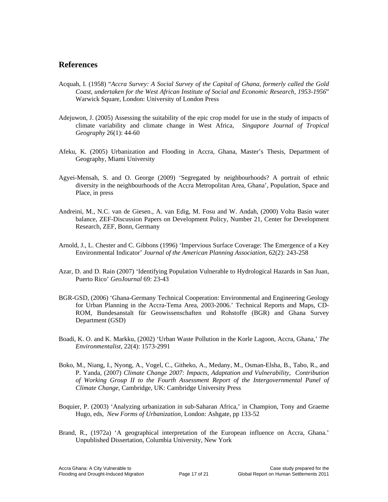#### **References**

- Acquah, I. (1958) "*Accra Survey: A Social Survey of the Capital of Ghana, formerly called the Gold Coast, undertaken for the West African Institute of Social and Economic Research, 1953-1956*" Warwick Square, London: University of London Press
- Adejuwon, J. (2005) Assessing the suitability of the epic crop model for use in the study of impacts of climate variability and climate change in West Africa, *Singapore Journal of Tropical Geography* 26(1): 44-60
- Afeku, K. (2005) Urbanization and Flooding in Accra, Ghana, Master's Thesis, Department of Geography, Miami University
- Agyei-Mensah, S. and O. George (2009) 'Segregated by neighbourhoods? A portrait of ethnic diversity in the neighbourhoods of the Accra Metropolitan Area, Ghana', Population, Space and Place, in press
- Andreini, M., N.C. van de Giesen., A. van Edig, M. Fosu and W. Andah, (2000) Volta Basin water balance, ZEF-Discussion Papers on Development Policy, Number 21, Center for Development Research, ZEF, Bonn, Germany
- Arnold, J., L. Chester and C. Gibbons (1996) 'Impervious Surface Coverage: The Emergence of a Key Environmental Indicator' *Journal of the American Planning Association,* 62(2): 243-258
- Azar, D. and D. Rain (2007) 'Identifying Population Vulnerable to Hydrological Hazards in San Juan, Puerto Rico' *GeoJournal* 69: 23-43
- BGR-GSD, (2006) 'Ghana-Germany Technical Cooperation: Environmental and Engineering Geology for Urban Planning in the Accra-Tema Area, 2003-2006.' Technical Reports and Maps, CD-ROM, Bundesanstalt für Geowissenschaften und Rohstoffe (BGR) and Ghana Survey Department (GSD)
- Boadi, K. O. and K. Markku, (2002) 'Urban Waste Pollution in the Korle Lagoon, Accra, Ghana,' *The Environmentalist*, 22(4): 1573-2991
- Boko, M., Niang, I., Nyong, A., Vogel, C., Githeko, A., Medany, M., Osman-Elsha, B., Tabo, R., and P. Yanda, (2007) *Climate Change 2007: Impacts, Adaptation and Vulnerability, Contribution of Working Group II to the Fourth Assessment Report of the Intergovernmental Panel of Climate Change*, Cambridge, UK: Cambridge University Press
- Boquier, P. (2003) 'Analyzing urbanization in sub-Saharan Africa,' in Champion, Tony and Graeme Hugo, eds, *New Forms of Urbanization,* London: Ashgate, pp 133-52
- Brand, R., (1972a) 'A geographical interpretation of the European influence on Accra, Ghana.' Unpublished Dissertation, Columbia University, New York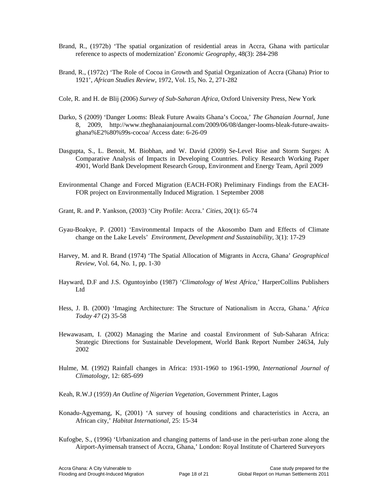- Brand, R., (1972b) 'The spatial organization of residential areas in Accra, Ghana with particular reference to aspects of modernization' *Economic Geography*, 48(3): 284-298
- Brand, R., (1972c) 'The Role of Cocoa in Growth and Spatial Organization of Accra (Ghana) Prior to 1921', *African Studies Review*, 1972, Vol. 15, No. 2, 271-282
- Cole, R. and H. de Blij (2006) *Survey of Sub-Saharan Africa,* Oxford University Press, New York
- Darko, S (2009) 'Danger Looms: Bleak Future Awaits Ghana's Cocoa,' *The Ghanaian Journal,* June 8, 2009, http://www.theghanaianjournal.com/2009/06/08/danger-looms-bleak-future-awaitsghana%E2%80%99s-cocoa/ Access date: 6-26-09
- Dasgupta, S., L. Benoit, M. Biobhan, and W. David (2009) Se-Level Rise and Storm Surges: A Comparative Analysis of Impacts in Developing Countries. Policy Research Working Paper 4901, World Bank Development Research Group, Environment and Energy Team, April 2009
- Environmental Change and Forced Migration (EACH-FOR) Preliminary Findings from the EACH-FOR project on Environmentally Induced Migration. 1 September 2008
- Grant, R. and P. Yankson, (2003) 'City Profile: Accra.' *Cities,* 20(1): 65-74
- Gyau-Boakye, P. (2001) 'Environmental Impacts of the Akosombo Dam and Effects of Climate change on the Lake Levels' *Environment, Development and Sustainability*, 3(1): 17-29
- Harvey, M. and R. Brand (1974) 'The Spatial Allocation of Migrants in Accra, Ghana' *Geographical Review*, Vol. 64, No. 1, pp. 1-30
- Hayward, D.F and J.S. Oguntoyinbo (1987) '*Climatology of West Africa*,' HarperCollins Publishers Ltd
- Hess, J. B. (2000) 'Imaging Architecture: The Structure of Nationalism in Accra, Ghana.' *Africa Today 47* (2) 35-58
- Hewawasam, I. (2002) Managing the Marine and coastal Environment of Sub-Saharan Africa: Strategic Directions for Sustainable Development, World Bank Report Number 24634, July 2002
- Hulme, M. (1992) Rainfall changes in Africa: 1931-1960 to 1961-1990, *International Journal of Climatology*, 12: 685-699
- Keah, R.W.J (1959) *An Outline of Nigerian Vegetation*, Government Printer, Lagos
- Konadu-Agyemang, K, (2001) 'A survey of housing conditions and characteristics in Accra, an African city,' *Habitat International,* 25: 15-34
- Kufogbe, S., (1996) 'Urbanization and changing patterns of land-use in the peri-urban zone along the Airport-Ayimensah transect of Accra, Ghana,' London: Royal Institute of Chartered Surveyors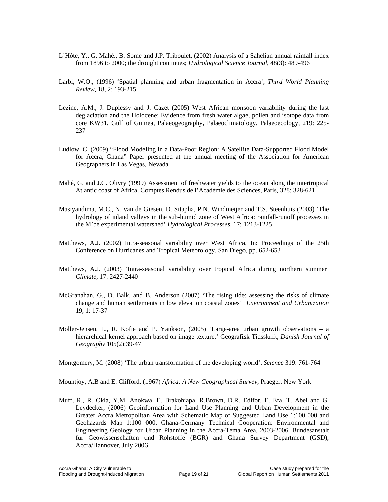- L'Hóte, Y., G. Mahé., B. Some and J.P. Triboulet, (2002) Analysis of a Sahelian annual rainfall index from 1896 to 2000; the drought continues; *Hydrological Science Journal*, 48(3): 489-496
- Larbi, W.O., (1996) 'Spatial planning and urban fragmentation in Accra', *Third World Planning Review*, 18, 2: 193-215
- Lezine, A.M., J. Duplessy and J. Cazet (2005) West African monsoon variability during the last deglaciation and the Holocene: Evidence from fresh water algae, pollen and isotope data from core KW31, Gulf of Guinea, Palaeogeography, Palaeoclimatology, Palaeoecology, 219: 225- 237
- Ludlow, C. (2009) "Flood Modeling in a Data-Poor Region: A Satellite Data-Supported Flood Model for Accra, Ghana" Paper presented at the annual meeting of the Association for American Geographers in Las Vegas, Nevada
- Mahé, G. and J.C. Olivry (1999) Assessment of freshwater yields to the ocean along the intertropical Atlantic coast of Africa, Comptes Rendus de l'Académie des Sciences, Paris, 328: 328-621
- Masiyandima, M.C., N. van de Giesen, D. Sitapha, P.N. Windmeijer and T.S. Steenhuis (2003) 'The hydrology of inland valleys in the sub-humid zone of West Africa: rainfall-runoff processes in the M'be experimental watershed' *Hydrological Processes*, 17: 1213-1225
- Matthews, A.J. (2002) Intra-seasonal variability over West Africa, In: Proceedings of the 25th Conference on Hurricanes and Tropical Meteorology, San Diego, pp. 652-653
- Matthews, A.J. (2003) 'Intra-seasonal variability over tropical Africa during northern summer' *Climate,* 17: 2427-2440
- McGranahan, G., D. Balk, and B. Anderson (2007) 'The rising tide: assessing the risks of climate change and human settlements in low elevation coastal zones' *Environment and Urbanization* 19, 1: 17-37
- Moller-Jensen, L., R. Kofie and P. Yankson, (2005) 'Large-area urban growth observations a hierarchical kernel approach based on image texture.' Geografisk Tidsskrift, *Danish Journal of Geography* 105(2):39-47

Montgomery, M. (2008) 'The urban transformation of the developing world', *Science* 319: 761-764

Mountjoy, A.B and E. Clifford, (1967) *Africa: A New Geographical Survey*, Praeger, New York

Muff, R., R. Okla, Y.M. Anokwa, E. Brakohiapa, R.Brown, D.R. Edifor, E. Efa, T. Abel and G. Leydecker, (2006) Geoinformation for Land Use Planning and Urban Development in the Greater Accra Metropolitan Area with Schematic Map of Suggested Land Use 1:100 000 and Geohazards Map 1:100 000, Ghana-Germany Technical Cooperation: Environmental and Engineering Geology for Urban Planning in the Accra-Tema Area, 2003-2006. Bundesanstalt für Geowissenschaften und Rohstoffe (BGR) and Ghana Survey Department (GSD), Accra/Hannover, July 2006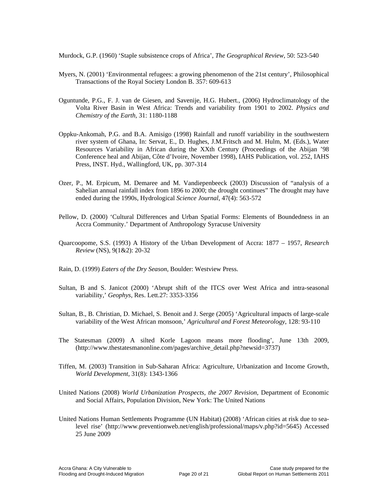Murdock, G.P. (1960) 'Staple subsistence crops of Africa', *The Geographical Review*, 50: 523-540

- Myers, N. (2001) 'Environmental refugees: a growing phenomenon of the 21st century', Philosophical Transactions of the Royal Society London B. 357: 609-613
- Oguntunde, P.G., F. J. van de Giesen, and Savenije, H.G. Hubert., (2006) Hydroclimatology of the Volta River Basin in West Africa: Trends and variability from 1901 to 2002. *Physics and Chemistry of the Earth,* 31: 1180-1188
- Oppku-Ankomah, P.G. and B.A. Amisigo (1998) Rainfall and runoff variability in the southwestern river system of Ghana, In: Servat, E., D. Hughes, J.M.Fritsch and M. Hulm, M. (Eds.), Water Resources Variability in African during the XXth Century (Proceedings of the Abijan '98 Conference heal and Abijan, Côte d'Ivoire, November 1998), IAHS Publication, vol. 252, IAHS Press, INST. Hyd., Wallingford, UK, pp. 307-314
- Ozer, P., M. Erpicum, M. Demaree and M. Vandiepenbeeck (2003) Discussion of "analysis of a Sahelian annual rainfall index from 1896 to 2000; the drought continues" The drought may have ended during the 1990s, Hydrological *Science Journal*, 47(4): 563-572
- Pellow, D. (2000) 'Cultural Differences and Urban Spatial Forms: Elements of Boundedness in an Accra Community.' Department of Anthropology Syracuse University
- Quarcoopome, S.S. (1993) A History of the Urban Development of Accra: 1877 1957, *Research Review* (NS), 9(1&2): 20-32
- Rain, D. (1999) *Eaters of the Dry Season*, Boulder: Westview Press.
- Sultan, B and S. Janicot (2000) 'Abrupt shift of the ITCS over West Africa and intra-seasonal variability,' *Geophys,* Res. Lett.27: 3353-3356
- Sultan, B., B. Christian, D. Michael, S. Benoit and J. Serge (2005) 'Agricultural impacts of large-scale variability of the West African monsoon,' *Agricultural and Forest Meteorology*, 128: 93-110
- The Statesman (2009) A silted Korle Lagoon means more flooding', June 13th 2009, (http://www.thestatesmanonline.com/pages/archive\_detail.php?newsid=3737)
- Tiffen, M. (2003) Transition in Sub-Saharan Africa: Agriculture, Urbanization and Income Growth, *World Development,* 31(8): 1343-1366
- United Nations (2008) *World Urbanization Prospects, the 2007 Revision*, Department of Economic and Social Affairs, Population Division, New York: The United Nations
- United Nations Human Settlements Programme (UN Habitat) (2008) 'African cities at risk due to sealevel rise' (http://www.preventionweb.net/english/professional/maps/v.php?id=5645) Accessed 25 June 2009